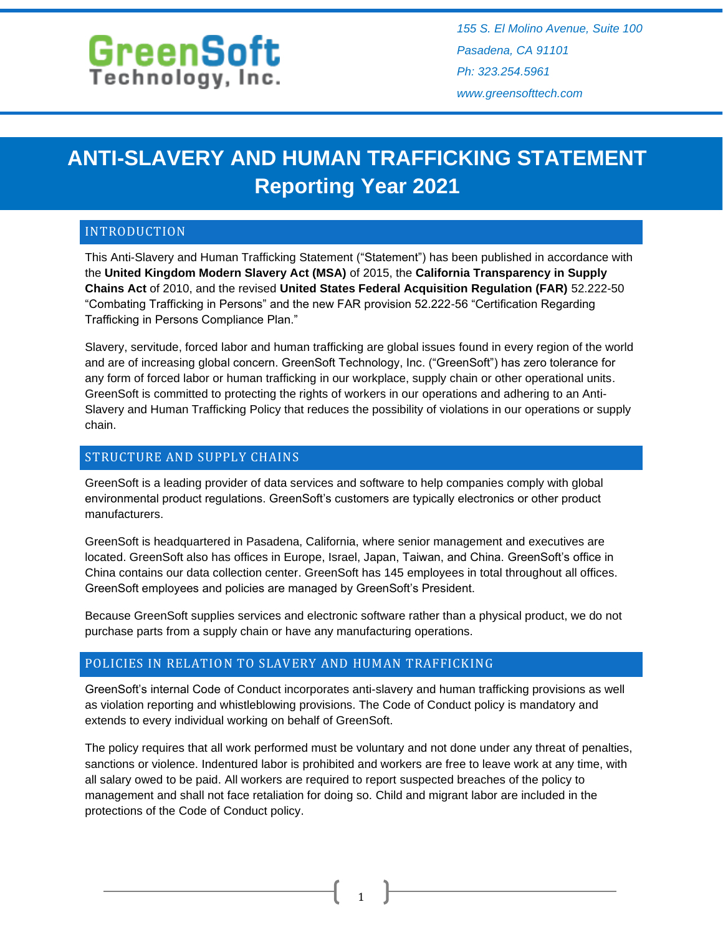# GreenSoft

*155 S. El Molino Avenue, Suite 100 Pasadena, CA 91101 Ph: 323.254.5961 www.greensofttech.com*

# **ANTI-SLAVERY AND HUMAN TRAFFICKING STATEMENT Reporting Year 2021**

# INTRODUCTION

This Anti-Slavery and Human Trafficking Statement ("Statement") has been published in accordance with the **United Kingdom Modern Slavery Act (MSA)** of 2015, the **California Transparency in Supply Chains Act** of 2010, and the revised **United States Federal Acquisition Regulation (FAR)** 52.222-50 "Combating Trafficking in Persons" and the new FAR provision 52.222-56 "Certification Regarding Trafficking in Persons Compliance Plan."

Slavery, servitude, forced labor and human trafficking are global issues found in every region of the world and are of increasing global concern. GreenSoft Technology, Inc. ("GreenSoft") has zero tolerance for any form of forced labor or human trafficking in our workplace, supply chain or other operational units. GreenSoft is committed to protecting the rights of workers in our operations and adhering to an Anti-Slavery and Human Trafficking Policy that reduces the possibility of violations in our operations or supply chain.

# STRUCTURE AND SUPPLY CHAINS

GreenSoft is a leading provider of data services and software to help companies comply with global environmental product regulations. GreenSoft's customers are typically electronics or other product manufacturers.

GreenSoft is headquartered in Pasadena, California, where senior management and executives are located. GreenSoft also has offices in Europe, Israel, Japan, Taiwan, and China. GreenSoft's office in China contains our data collection center. GreenSoft has 145 employees in total throughout all offices. GreenSoft employees and policies are managed by GreenSoft's President.

Because GreenSoft supplies services and electronic software rather than a physical product, we do not purchase parts from a supply chain or have any manufacturing operations.

#### POLICIES IN RELATION TO SLAVERY AND HUMAN TRAFFICKING

GreenSoft's internal Code of Conduct incorporates anti-slavery and human trafficking provisions as well as violation reporting and whistleblowing provisions. The Code of Conduct policy is mandatory and extends to every individual working on behalf of GreenSoft.

The policy requires that all work performed must be voluntary and not done under any threat of penalties, sanctions or violence. Indentured labor is prohibited and workers are free to leave work at any time, with all salary owed to be paid. All workers are required to report suspected breaches of the policy to management and shall not face retaliation for doing so. Child and migrant labor are included in the protections of the Code of Conduct policy.

1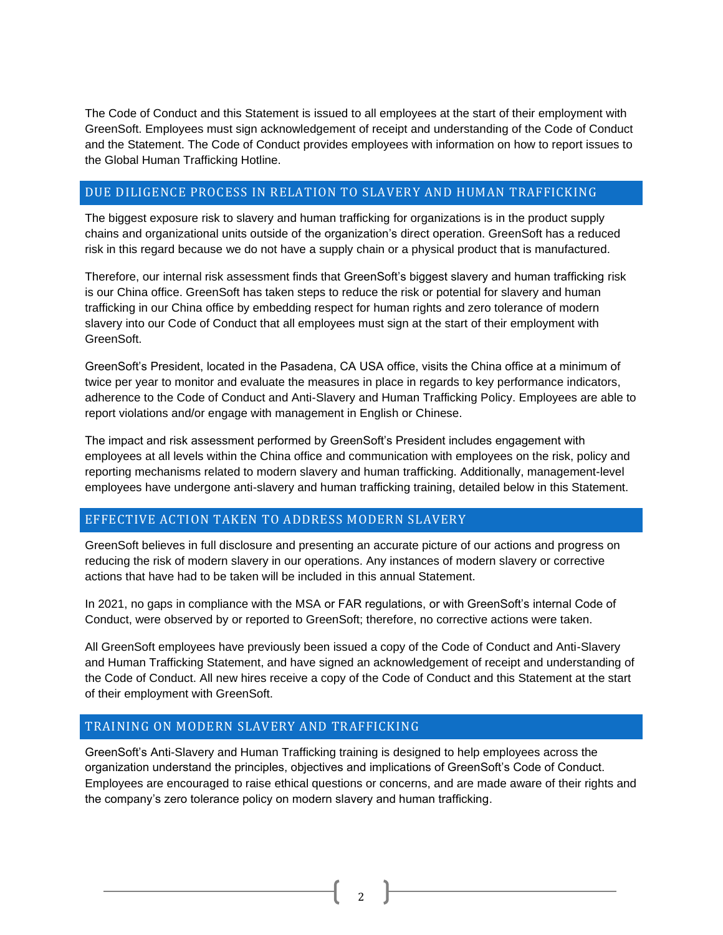The Code of Conduct and this Statement is issued to all employees at the start of their employment with GreenSoft. Employees must sign acknowledgement of receipt and understanding of the Code of Conduct and the Statement. The Code of Conduct provides employees with information on how to report issues to the Global Human Trafficking Hotline.

#### DUE DILIGENCE PROCESS IN RELATION TO SLAVERY AND HUMAN TRAFFICKING

The biggest exposure risk to slavery and human trafficking for organizations is in the product supply chains and organizational units outside of the organization's direct operation. GreenSoft has a reduced risk in this regard because we do not have a supply chain or a physical product that is manufactured.

Therefore, our internal risk assessment finds that GreenSoft's biggest slavery and human trafficking risk is our China office. GreenSoft has taken steps to reduce the risk or potential for slavery and human trafficking in our China office by embedding respect for human rights and zero tolerance of modern slavery into our Code of Conduct that all employees must sign at the start of their employment with GreenSoft.

GreenSoft's President, located in the Pasadena, CA USA office, visits the China office at a minimum of twice per year to monitor and evaluate the measures in place in regards to key performance indicators, adherence to the Code of Conduct and Anti-Slavery and Human Trafficking Policy. Employees are able to report violations and/or engage with management in English or Chinese.

The impact and risk assessment performed by GreenSoft's President includes engagement with employees at all levels within the China office and communication with employees on the risk, policy and reporting mechanisms related to modern slavery and human trafficking. Additionally, management-level employees have undergone anti-slavery and human trafficking training, detailed below in this Statement.

# EFFECTIVE ACTION TAKEN TO ADDRESS MODERN SLAVERY

GreenSoft believes in full disclosure and presenting an accurate picture of our actions and progress on reducing the risk of modern slavery in our operations. Any instances of modern slavery or corrective actions that have had to be taken will be included in this annual Statement.

In 2021, no gaps in compliance with the MSA or FAR regulations, or with GreenSoft's internal Code of Conduct, were observed by or reported to GreenSoft; therefore, no corrective actions were taken.

All GreenSoft employees have previously been issued a copy of the Code of Conduct and Anti-Slavery and Human Trafficking Statement, and have signed an acknowledgement of receipt and understanding of the Code of Conduct. All new hires receive a copy of the Code of Conduct and this Statement at the start of their employment with GreenSoft.

#### TRAINING ON MODERN SLAVERY AND TRAFFICKING

GreenSoft's Anti-Slavery and Human Trafficking training is designed to help employees across the organization understand the principles, objectives and implications of GreenSoft's Code of Conduct. Employees are encouraged to raise ethical questions or concerns, and are made aware of their rights and the company's zero tolerance policy on modern slavery and human trafficking.

2